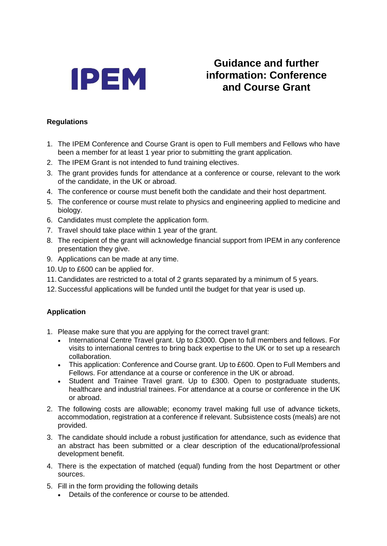

## **Guidance and further information: Conference and Course Grant**

## **Regulations**

- 1. The IPEM Conference and Course Grant is open to Full members and Fellows who have been a member for at least 1 year prior to submitting the grant application.
- 2. The IPEM Grant is not intended to fund training electives.
- 3. The grant provides funds for attendance at a conference or course, relevant to the work of the candidate, in the UK or abroad.
- 4. The conference or course must benefit both the candidate and their host department.
- 5. The conference or course must relate to physics and engineering applied to medicine and biology.
- 6. Candidates must complete the application form.
- 7. Travel should take place within 1 year of the grant.
- 8. The recipient of the grant will acknowledge financial support from IPEM in any conference presentation they give.
- 9. Applications can be made at any time.
- 10. Up to £600 can be applied for.
- 11. Candidates are restricted to a total of 2 grants separated by a minimum of 5 years.
- 12.Successful applications will be funded until the budget for that year is used up.

## **Application**

- 1. Please make sure that you are applying for the correct travel grant:
	- International Centre Travel grant. Up to £3000. Open to full members and fellows. For visits to international centres to bring back expertise to the UK or to set up a research collaboration.
	- This application: Conference and Course grant. Up to £600. Open to Full Members and Fellows. For attendance at a course or conference in the UK or abroad.
	- Student and Trainee Travel grant. Up to £300. Open to postgraduate students, healthcare and industrial trainees. For attendance at a course or conference in the UK or abroad.
- 2. The following costs are allowable; economy travel making full use of advance tickets, accommodation, registration at a conference if relevant. Subsistence costs (meals) are not provided.
- 3. The candidate should include a robust justification for attendance, such as evidence that an abstract has been submitted or a clear description of the educational/professional development benefit.
- 4. There is the expectation of matched (equal) funding from the host Department or other sources.
- 5. Fill in the form providing the following details
	- Details of the conference or course to be attended.